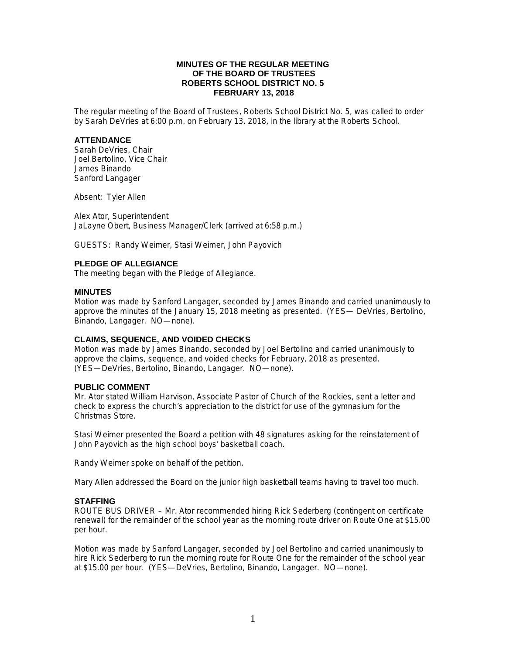## **MINUTES OF THE REGULAR MEETING OF THE BOARD OF TRUSTEES ROBERTS SCHOOL DISTRICT NO. 5 FEBRUARY 13, 2018**

The regular meeting of the Board of Trustees, Roberts School District No. 5, was called to order by Sarah DeVries at 6:00 p.m. on February 13, 2018, in the library at the Roberts School.

### **ATTENDANCE**

Sarah DeVries, Chair Joel Bertolino, Vice Chair James Binando Sanford Langager

Absent: Tyler Allen

Alex Ator, Superintendent JaLayne Obert, Business Manager/Clerk (arrived at 6:58 p.m.)

GUESTS: Randy Weimer, Stasi Weimer, John Payovich

### **PLEDGE OF ALLEGIANCE**

The meeting began with the Pledge of Allegiance.

### **MINUTES**

Motion was made by Sanford Langager, seconded by James Binando and carried unanimously to approve the minutes of the January 15, 2018 meeting as presented. (YES— DeVries, Bertolino, Binando, Langager. NO—none).

## **CLAIMS, SEQUENCE, AND VOIDED CHECKS**

Motion was made by James Binando, seconded by Joel Bertolino and carried unanimously to approve the claims, sequence, and voided checks for February, 2018 as presented. (YES—DeVries, Bertolino, Binando, Langager. NO—none).

### **PUBLIC COMMENT**

Mr. Ator stated William Harvison, Associate Pastor of Church of the Rockies, sent a letter and check to express the church's appreciation to the district for use of the gymnasium for the Christmas Store.

Stasi Weimer presented the Board a petition with 48 signatures asking for the reinstatement of John Payovich as the high school boys' basketball coach.

Randy Weimer spoke on behalf of the petition.

Mary Allen addressed the Board on the junior high basketball teams having to travel too much.

## **STAFFING**

ROUTE BUS DRIVER – Mr. Ator recommended hiring Rick Sederberg (contingent on certificate renewal) for the remainder of the school year as the morning route driver on Route One at \$15.00 per hour.

Motion was made by Sanford Langager, seconded by Joel Bertolino and carried unanimously to hire Rick Sederberg to run the morning route for Route One for the remainder of the school year at \$15.00 per hour. (YES—DeVries, Bertolino, Binando, Langager. NO—none).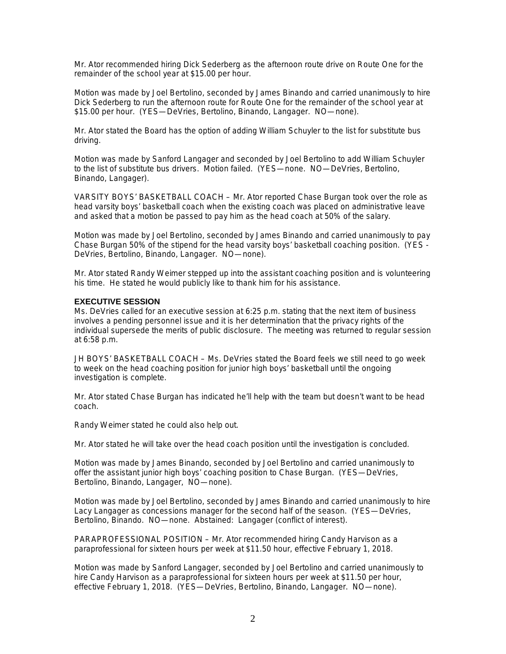Mr. Ator recommended hiring Dick Sederberg as the afternoon route drive on Route One for the remainder of the school year at \$15.00 per hour.

Motion was made by Joel Bertolino, seconded by James Binando and carried unanimously to hire Dick Sederberg to run the afternoon route for Route One for the remainder of the school year at \$15.00 per hour. (YES—DeVries, Bertolino, Binando, Langager. NO—none).

Mr. Ator stated the Board has the option of adding William Schuyler to the list for substitute bus driving.

Motion was made by Sanford Langager and seconded by Joel Bertolino to add William Schuyler to the list of substitute bus drivers. Motion failed. (YES—none. NO—DeVries, Bertolino, Binando, Langager).

VARSITY BOYS' BASKETBALL COACH – Mr. Ator reported Chase Burgan took over the role as head varsity boys' basketball coach when the existing coach was placed on administrative leave and asked that a motion be passed to pay him as the head coach at 50% of the salary.

Motion was made by Joel Bertolino, seconded by James Binando and carried unanimously to pay Chase Burgan 50% of the stipend for the head varsity boys' basketball coaching position. (YES - DeVries, Bertolino, Binando, Langager. NO—none).

Mr. Ator stated Randy Weimer stepped up into the assistant coaching position and is volunteering his time. He stated he would publicly like to thank him for his assistance.

### **EXECUTIVE SESSION**

Ms. DeVries called for an executive session at 6:25 p.m. stating that the next item of business involves a pending personnel issue and it is her determination that the privacy rights of the individual supersede the merits of public disclosure. The meeting was returned to regular session at 6:58 p.m.

JH BOYS' BASKETBALL COACH – Ms. DeVries stated the Board feels we still need to go week to week on the head coaching position for junior high boys' basketball until the ongoing investigation is complete.

Mr. Ator stated Chase Burgan has indicated he'll help with the team but doesn't want to be head coach.

Randy Weimer stated he could also help out.

Mr. Ator stated he will take over the head coach position until the investigation is concluded.

Motion was made by James Binando, seconded by Joel Bertolino and carried unanimously to offer the assistant junior high boys' coaching position to Chase Burgan. (YES—DeVries, Bertolino, Binando, Langager, NO—none).

Motion was made by Joel Bertolino, seconded by James Binando and carried unanimously to hire Lacy Langager as concessions manager for the second half of the season. (YES—DeVries, Bertolino, Binando. NO—none. Abstained: Langager (conflict of interest).

PARAPROFESSIONAL POSITION – Mr. Ator recommended hiring Candy Harvison as a paraprofessional for sixteen hours per week at \$11.50 hour, effective February 1, 2018.

Motion was made by Sanford Langager, seconded by Joel Bertolino and carried unanimously to hire Candy Harvison as a paraprofessional for sixteen hours per week at \$11.50 per hour, effective February 1, 2018. (YES—DeVries, Bertolino, Binando, Langager. NO—none).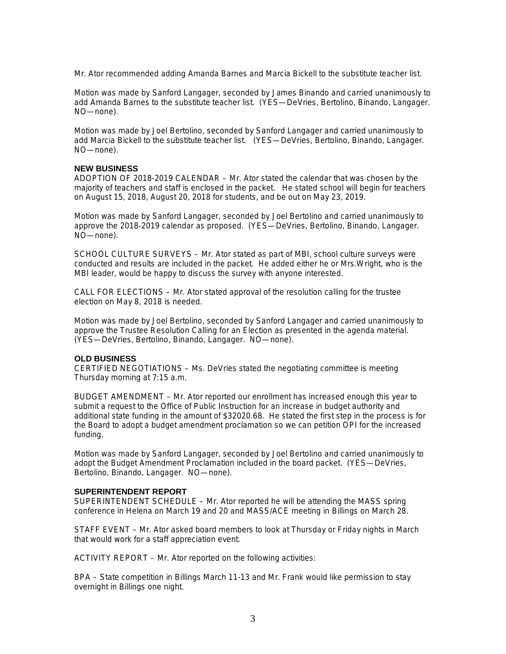Mr. Ator recommended adding Amanda Barnes and Marcia Bickell to the substitute teacher list.

Motion was made by Sanford Langager, seconded by James Binando and carried unanimously to add Amanda Barnes to the substitute teacher list. (YES—DeVries, Bertolino, Binando, Langager. NO—none).

Motion was made by Joel Bertolino, seconded by Sanford Langager and carried unanimously to add Marcia Bickell to the substitute teacher list. (YES—DeVries, Bertolino, Binando, Langager. NO—none).

## **NEW BUSINESS**

ADOPTION OF 2018-2019 CALENDAR – Mr. Ator stated the calendar that was chosen by the majority of teachers and staff is enclosed in the packet. He stated school will begin for teachers on August 15, 2018, August 20, 2018 for students, and be out on May 23, 2019.

Motion was made by Sanford Langager, seconded by Joel Bertolino and carried unanimously to approve the 2018-2019 calendar as proposed. (YES—DeVries, Bertolino, Binando, Langager. NO—none).

SCHOOL CULTURE SURVEYS – Mr. Ator stated as part of MBI, school culture surveys were conducted and results are included in the packet. He added either he or Mrs.Wright, who is the MBI leader, would be happy to discuss the survey with anyone interested.

CALL FOR ELECTIONS – Mr. Ator stated approval of the resolution calling for the trustee election on May 8, 2018 is needed.

Motion was made by Joel Bertolino, seconded by Sanford Langager and carried unanimously to approve the Trustee Resolution Calling for an Election as presented in the agenda material. (YES—DeVries, Bertolino, Binando, Langager. NO—none).

#### **OLD BUSINESS**

CERTIFIED NEGOTIATIONS – Ms. DeVries stated the negotiating committee is meeting Thursday morning at 7:15 a.m.

BUDGET AMENDMENT – Mr. Ator reported our enrollment has increased enough this year to submit a request to the Office of Public Instruction for an increase in budget authority and additional state funding in the amount of \$32020.68. He stated the first step in the process is for the Board to adopt a budget amendment proclamation so we can petition OPI for the increased funding.

Motion was made by Sanford Langager, seconded by Joel Bertolino and carried unanimously to adopt the Budget Amendment Proclamation included in the board packet. (YES—DeVries, Bertolino, Binando, Langager. NO—none).

#### **SUPERINTENDENT REPORT**

SUPERINTENDENT SCHEDULE – Mr. Ator reported he will be attending the MASS spring conference in Helena on March 19 and 20 and MASS/ACE meeting in Billings on March 28.

STAFF EVENT – Mr. Ator asked board members to look at Thursday or Friday nights in March that would work for a staff appreciation event.

ACTIVITY REPORT – Mr. Ator reported on the following activities:

BPA – State competition in Billings March 11-13 and Mr. Frank would like permission to stay overnight in Billings one night.